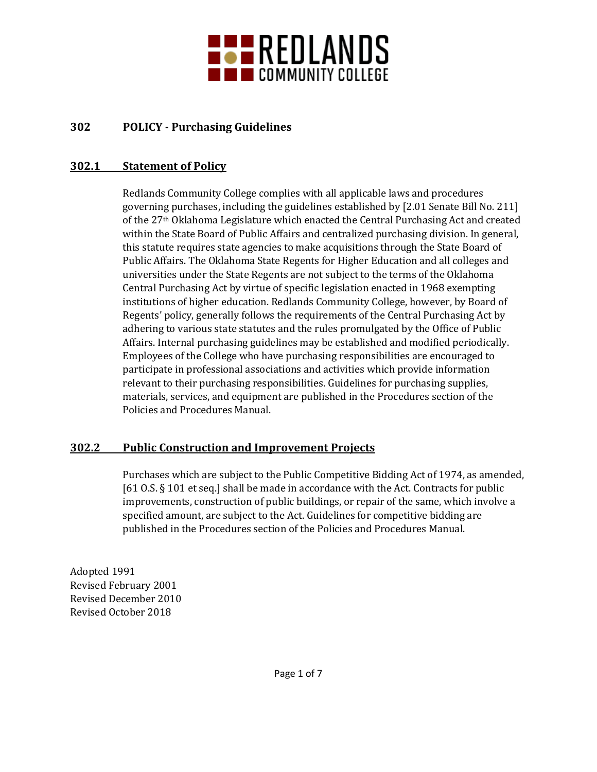

# **302 POLICY - Purchasing Guidelines**

### **302.1 Statement of Policy**

Redlands Community College complies with all applicable laws and procedures governing purchases, including the guidelines established by [2.01 Senate Bill No. 211] of the 27th Oklahoma Legislature which enacted the Central Purchasing Act and created within the State Board of Public Affairs and centralized purchasing division. In general, this statute requires state agencies to make acquisitions through the State Board of Public Affairs. The Oklahoma State Regents for Higher Education and all colleges and universities under the State Regents are not subject to the terms of the Oklahoma Central Purchasing Act by virtue of specific legislation enacted in 1968 exempting institutions of higher education. Redlands Community College, however, by Board of Regents' policy, generally follows the requirements of the Central Purchasing Act by adhering to various state statutes and the rules promulgated by the Office of Public Affairs. Internal purchasing guidelines may be established and modified periodically. Employees of the College who have purchasing responsibilities are encouraged to participate in professional associations and activities which provide information relevant to their purchasing responsibilities. Guidelines for purchasing supplies, materials, services, and equipment are published in the Procedures section of the Policies and Procedures Manual.

### **302.2 Public Construction and Improvement Projects**

Purchases which are subject to the Public Competitive Bidding Act of 1974, as amended, [61 O.S. § 101 et seq.] shall be made in accordance with the Act. Contracts for public improvements, construction of public buildings, or repair of the same, which involve a specified amount, are subject to the Act. Guidelines for competitive bidding are published in the Procedures section of the Policies and Procedures Manual.

Adopted 1991 Revised February 2001 Revised December 2010 Revised October 2018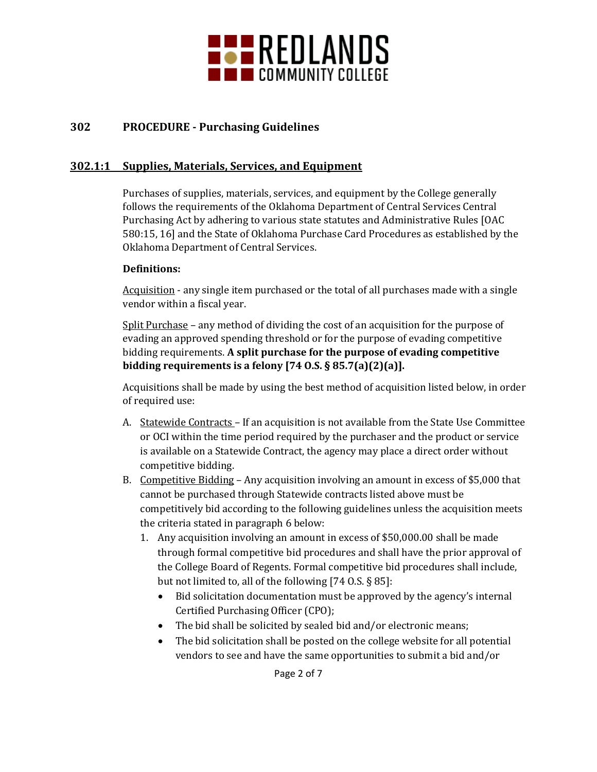

# **302 PROCEDURE - Purchasing Guidelines**

### **302.1:1 Supplies, Materials, Services, and Equipment**

Purchases of supplies, materials, services, and equipment by the College generally follows the requirements of the Oklahoma Department of Central Services Central Purchasing Act by adhering to various state statutes and Administrative Rules [OAC 580:15, 16] and the State of Oklahoma Purchase Card Procedures as established by the Oklahoma Department of Central Services.

#### **Definitions:**

Acquisition - any single item purchased or the total of all purchases made with a single vendor within a fiscal year.

Split Purchase – any method of dividing the cost of an acquisition for the purpose of evading an approved spending threshold or for the purpose of evading competitive bidding requirements. **A split purchase for the purpose of evading competitive bidding requirements is a felony [74 O.S. § 85.7(a)(2)(a)].**

Acquisitions shall be made by using the best method of acquisition listed below, in order of required use:

- A. Statewide Contracts If an acquisition is not available from the State Use Committee or OCI within the time period required by the purchaser and the product or service is available on a Statewide Contract, the agency may place a direct order without competitive bidding.
- B. Competitive Bidding Any acquisition involving an amount in excess of \$5,000 that cannot be purchased through Statewide contracts listed above must be competitively bid according to the following guidelines unless the acquisition meets the criteria stated in paragraph 6 below:
	- 1. Any acquisition involving an amount in excess of \$50,000.00 shall be made through formal competitive bid procedures and shall have the prior approval of the College Board of Regents. Formal competitive bid procedures shall include, but not limited to, all of the following [74 O.S. § 85]:
		- Bid solicitation documentation must be approved by the agency's internal Certified Purchasing Officer (CPO);
		- The bid shall be solicited by sealed bid and/or electronic means;
		- The bid solicitation shall be posted on the college website for all potential vendors to see and have the same opportunities to submit a bid and/or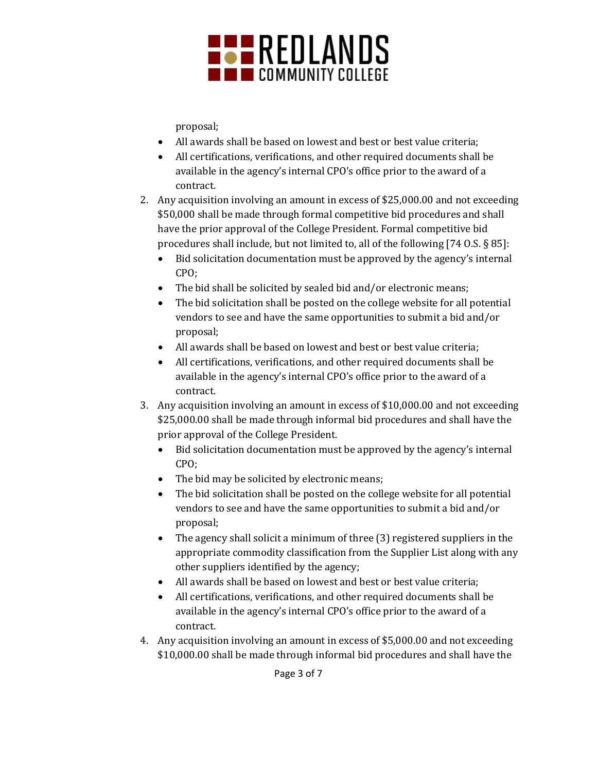

proposal;

- All awards shall be based on lowest and best or best value criteria;
- All certifications, verifications, and other required documents shall be available in the agency's internal CPO's office prior to the award of a contract.
- 2. Any acquisition involving an amount in excess of \$25,000.00 and not exceeding \$50,000 shall be made through formal competitive bid procedures and shall have the prior approval of the College President. Formal competitive bid procedures shall include, but not limited to, all of the following [74 O.S. § 85]:
	- Bid solicitation documentation must be approved by the agency's internal CPO;
	- The bid shall be solicited by sealed bid and/or electronic means;
	- The bid solicitation shall be posted on the college website for all potential vendors to see and have the same opportunities to submit a bid and/or proposal;
	- All awards shall be based on lowest and best or best value criteria;
	- All certifications, verifications, and other required documents shall be available in the agency's internal CPO's office prior to the award of a contract.
- 3. Any acquisition involving an amount in excess of \$10,000.00 and not exceeding \$25,000.00 shall be made through informal bid procedures and shall have the prior approval of the College President.
	- Bid solicitation documentation must be approved by the agency's internal CPO;
	- The bid may be solicited by electronic means;
	- The bid solicitation shall be posted on the college website for all potential vendors to see and have the same opportunities to submit a bid and/or proposal;
	- The agency shall solicit a minimum of three (3) registered suppliers in the appropriate commodity classification from the Supplier List along with any other suppliers identified by the agency;
	- All awards shall be based on lowest and best or best value criteria;
	- All certifications, verifications, and other required documents shall be available in the agency's internal CPO's office prior to the award of a contract.
- 4. Any acquisition involving an amount in excess of \$5,000.00 and not exceeding \$10,000.00 shall be made through informal bid procedures and shall have the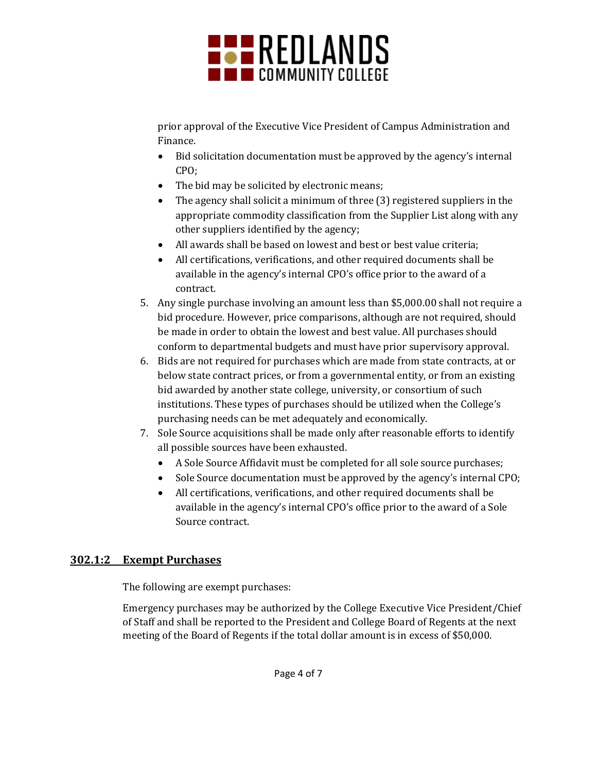

prior approval of the Executive Vice President of Campus Administration and Finance.

- Bid solicitation documentation must be approved by the agency's internal CPO;
- The bid may be solicited by electronic means;
- The agency shall solicit a minimum of three (3) registered suppliers in the appropriate commodity classification from the Supplier List along with any other suppliers identified by the agency;
- All awards shall be based on lowest and best or best value criteria;
- All certifications, verifications, and other required documents shall be available in the agency's internal CPO's office prior to the award of a contract.
- 5. Any single purchase involving an amount less than \$5,000.00 shall not require a bid procedure. However, price comparisons, although are not required, should be made in order to obtain the lowest and best value. All purchases should conform to departmental budgets and must have prior supervisory approval.
- 6. Bids are not required for purchases which are made from state contracts, at or below state contract prices, or from a governmental entity, or from an existing bid awarded by another state college, university, or consortium of such institutions. These types of purchases should be utilized when the College's purchasing needs can be met adequately and economically.
- 7. Sole Source acquisitions shall be made only after reasonable efforts to identify all possible sources have been exhausted.
	- A Sole Source Affidavit must be completed for all sole source purchases;
	- Sole Source documentation must be approved by the agency's internal CPO;
	- All certifications, verifications, and other required documents shall be available in the agency's internal CPO's office prior to the award of a Sole Source contract.

# **302.1:2 Exempt Purchases**

The following are exempt purchases:

Emergency purchases may be authorized by the College Executive Vice President/Chief of Staff and shall be reported to the President and College Board of Regents at the next meeting of the Board of Regents if the total dollar amount is in excess of \$50,000.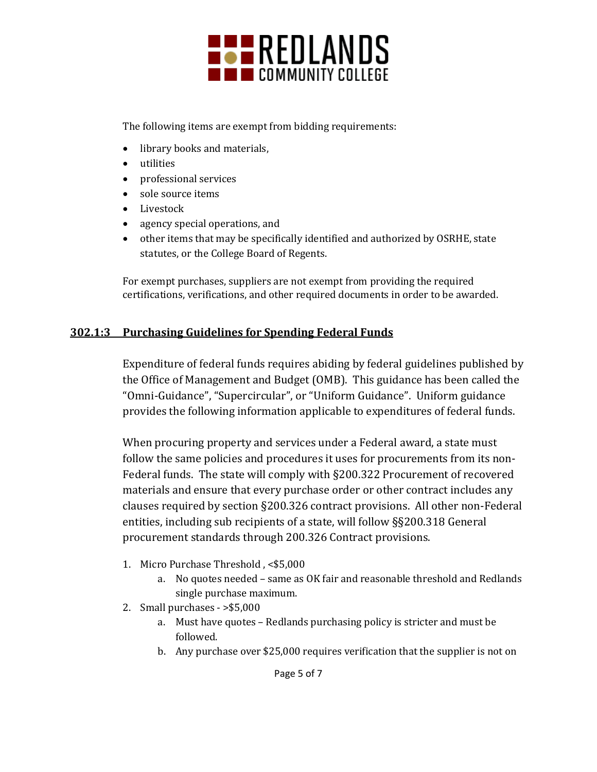

The following items are exempt from bidding requirements:

- library books and materials,
- utilities
- professional services
- sole source items
- Livestock
- agency special operations, and
- other items that may be specifically identified and authorized by OSRHE, state statutes, or the College Board of Regents.

For exempt purchases, suppliers are not exempt from providing the required certifications, verifications, and other required documents in order to be awarded.

# **302.1:3 Purchasing Guidelines for Spending Federal Funds**

Expenditure of federal funds requires abiding by federal guidelines published by the Office of Management and Budget (OMB). This guidance has been called the "Omni-Guidance", "Supercircular", or "Uniform Guidance". Uniform guidance provides the following information applicable to expenditures of federal funds.

When procuring property and services under a Federal award, a state must follow the same policies and procedures it uses for procurements from its non-Federal funds. The state will comply with §200.322 Procurement of recovered materials and ensure that every purchase order or other contract includes any clauses required by section §200.326 contract provisions. All other non-Federal entities, including sub recipients of a state, will follow §§200.318 General procurement standards through 200.326 Contract provisions.

- 1. Micro Purchase Threshold , <\$5,000
	- a. No quotes needed same as OK fair and reasonable threshold and Redlands single purchase maximum.
- 2. Small purchases >\$5,000
	- a. Must have quotes Redlands purchasing policy is stricter and must be followed.
	- b. Any purchase over \$25,000 requires verification that the supplier is not on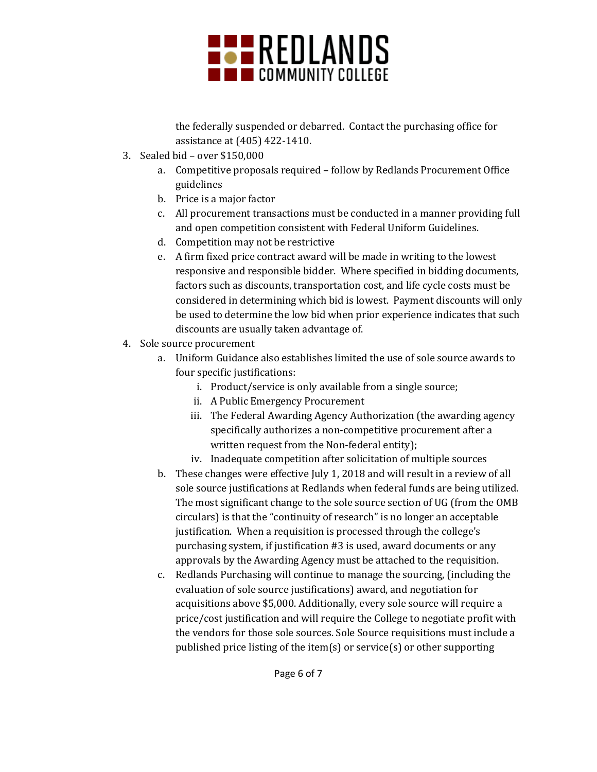

the federally suspended or debarred. Contact the purchasing office for assistance at (405) 422-1410.

- 3. Sealed bid over \$150,000
	- a. Competitive proposals required follow by Redlands Procurement Office guidelines
	- b. Price is a major factor
	- c. All procurement transactions must be conducted in a manner providing full and open competition consistent with Federal Uniform Guidelines.
	- d. Competition may not be restrictive
	- e. A firm fixed price contract award will be made in writing to the lowest responsive and responsible bidder. Where specified in bidding documents, factors such as discounts, transportation cost, and life cycle costs must be considered in determining which bid is lowest. Payment discounts will only be used to determine the low bid when prior experience indicates that such discounts are usually taken advantage of.
- 4. Sole source procurement
	- a. Uniform Guidance also establishes limited the use of sole source awards to four specific justifications:
		- i. Product/service is only available from a single source;
		- ii. A Public Emergency Procurement
		- iii. The Federal Awarding Agency Authorization (the awarding agency specifically authorizes a non-competitive procurement after a written request from the Non-federal entity);
		- iv. Inadequate competition after solicitation of multiple sources
	- b. These changes were effective July 1, 2018 and will result in a review of all sole source justifications at Redlands when federal funds are being utilized. The most significant change to the sole source section of UG (from the OMB circulars) is that the "continuity of research" is no longer an acceptable justification. When a requisition is processed through the college's purchasing system, if justification #3 is used, award documents or any approvals by the Awarding Agency must be attached to the requisition.
	- c. Redlands Purchasing will continue to manage the sourcing, (including the evaluation of sole source justifications) award, and negotiation for acquisitions above \$5,000. Additionally, every sole source will require a price/cost justification and will require the College to negotiate profit with the vendors for those sole sources. Sole Source requisitions must include a published price listing of the item(s) or service(s) or other supporting